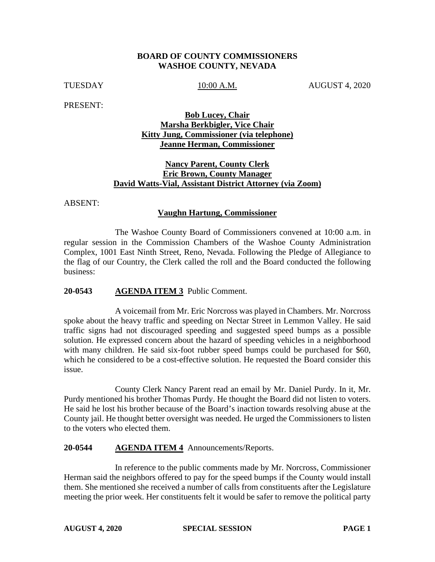## **BOARD OF COUNTY COMMISSIONERS WASHOE COUNTY, NEVADA**

TUESDAY 10:00 A.M. AUGUST 4, 2020

PRESENT:

# **Bob Lucey, Chair Marsha Berkbigler, Vice Chair Kitty Jung, Commissioner (via telephone) Jeanne Herman, Commissioner**

## **Nancy Parent, County Clerk Eric Brown, County Manager David Watts-Vial, Assistant District Attorney (via Zoom)**

ABSENT:

### **Vaughn Hartung, Commissioner**

The Washoe County Board of Commissioners convened at 10:00 a.m. in regular session in the Commission Chambers of the Washoe County Administration Complex, 1001 East Ninth Street, Reno, Nevada. Following the Pledge of Allegiance to the flag of our Country, the Clerk called the roll and the Board conducted the following business:

### **20-0543 AGENDA ITEM 3** Public Comment.

A voicemail from Mr. Eric Norcross was played in Chambers. Mr. Norcross spoke about the heavy traffic and speeding on Nectar Street in Lemmon Valley. He said traffic signs had not discouraged speeding and suggested speed bumps as a possible solution. He expressed concern about the hazard of speeding vehicles in a neighborhood with many children. He said six-foot rubber speed bumps could be purchased for \$60, which he considered to be a cost-effective solution. He requested the Board consider this issue.

County Clerk Nancy Parent read an email by Mr. Daniel Purdy. In it, Mr. Purdy mentioned his brother Thomas Purdy. He thought the Board did not listen to voters. He said he lost his brother because of the Board's inaction towards resolving abuse at the County jail. He thought better oversight was needed. He urged the Commissioners to listen to the voters who elected them.

### **20-0544 AGENDA ITEM 4** Announcements/Reports.

In reference to the public comments made by Mr. Norcross, Commissioner Herman said the neighbors offered to pay for the speed bumps if the County would install them. She mentioned she received a number of calls from constituents after the Legislature meeting the prior week. Her constituents felt it would be safer to remove the political party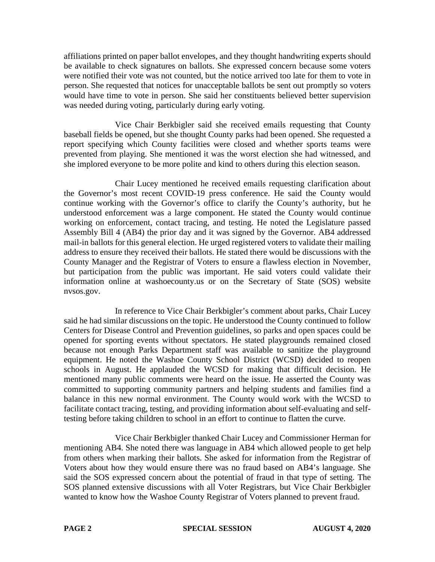affiliations printed on paper ballot envelopes, and they thought handwriting experts should be available to check signatures on ballots. She expressed concern because some voters were notified their vote was not counted, but the notice arrived too late for them to vote in person. She requested that notices for unacceptable ballots be sent out promptly so voters would have time to vote in person. She said her constituents believed better supervision was needed during voting, particularly during early voting.

Vice Chair Berkbigler said she received emails requesting that County baseball fields be opened, but she thought County parks had been opened. She requested a report specifying which County facilities were closed and whether sports teams were prevented from playing. She mentioned it was the worst election she had witnessed, and she implored everyone to be more polite and kind to others during this election season.

Chair Lucey mentioned he received emails requesting clarification about the Governor's most recent COVID-19 press conference. He said the County would continue working with the Governor's office to clarify the County's authority, but he understood enforcement was a large component. He stated the County would continue working on enforcement, contact tracing, and testing. He noted the Legislature passed Assembly Bill 4 (AB4) the prior day and it was signed by the Governor. AB4 addressed mail-in ballots for this general election. He urged registered voters to validate their mailing address to ensure they received their ballots. He stated there would be discussions with the County Manager and the Registrar of Voters to ensure a flawless election in November, but participation from the public was important. He said voters could validate their information online at washoecounty.us or on the Secretary of State (SOS) website nvsos.gov.

In reference to Vice Chair Berkbigler's comment about parks, Chair Lucey said he had similar discussions on the topic. He understood the County continued to follow Centers for Disease Control and Prevention guidelines, so parks and open spaces could be opened for sporting events without spectators. He stated playgrounds remained closed because not enough Parks Department staff was available to sanitize the playground equipment. He noted the Washoe County School District (WCSD) decided to reopen schools in August. He applauded the WCSD for making that difficult decision. He mentioned many public comments were heard on the issue. He asserted the County was committed to supporting community partners and helping students and families find a balance in this new normal environment. The County would work with the WCSD to facilitate contact tracing, testing, and providing information about self-evaluating and selftesting before taking children to school in an effort to continue to flatten the curve.

Vice Chair Berkbigler thanked Chair Lucey and Commissioner Herman for mentioning AB4. She noted there was language in AB4 which allowed people to get help from others when marking their ballots. She asked for information from the Registrar of Voters about how they would ensure there was no fraud based on AB4's language. She said the SOS expressed concern about the potential of fraud in that type of setting. The SOS planned extensive discussions with all Voter Registrars, but Vice Chair Berkbigler wanted to know how the Washoe County Registrar of Voters planned to prevent fraud.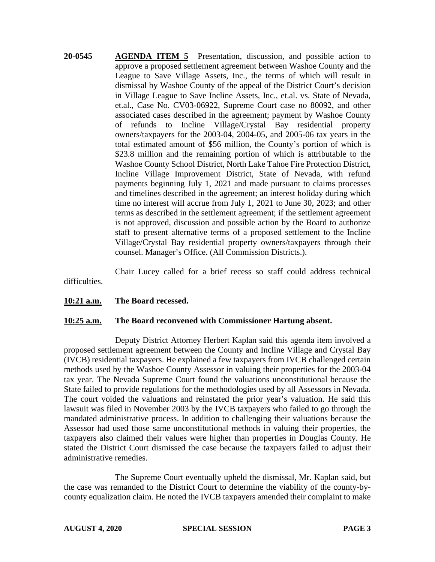**20-0545 AGENDA ITEM 5** Presentation, discussion, and possible action to approve a proposed settlement agreement between Washoe County and the League to Save Village Assets, Inc., the terms of which will result in dismissal by Washoe County of the appeal of the District Court's decision in Village League to Save Incline Assets, Inc., et.al. vs. State of Nevada, et.al., Case No. CV03-06922, Supreme Court case no 80092, and other associated cases described in the agreement; payment by Washoe County of refunds to Incline Village/Crystal Bay residential property owners/taxpayers for the 2003-04, 2004-05, and 2005-06 tax years in the total estimated amount of \$56 million, the County's portion of which is \$23.8 million and the remaining portion of which is attributable to the Washoe County School District, North Lake Tahoe Fire Protection District, Incline Village Improvement District, State of Nevada, with refund payments beginning July 1, 2021 and made pursuant to claims processes and timelines described in the agreement; an interest holiday during which time no interest will accrue from July 1, 2021 to June 30, 2023; and other terms as described in the settlement agreement; if the settlement agreement is not approved, discussion and possible action by the Board to authorize staff to present alternative terms of a proposed settlement to the Incline Village/Crystal Bay residential property owners/taxpayers through their counsel. Manager's Office. (All Commission Districts.).

Chair Lucey called for a brief recess so staff could address technical difficulties.

## **10:21 a.m. The Board recessed.**

### **10:25 a.m. The Board reconvened with Commissioner Hartung absent.**

Deputy District Attorney Herbert Kaplan said this agenda item involved a proposed settlement agreement between the County and Incline Village and Crystal Bay (IVCB) residential taxpayers. He explained a few taxpayers from IVCB challenged certain methods used by the Washoe County Assessor in valuing their properties for the 2003-04 tax year. The Nevada Supreme Court found the valuations unconstitutional because the State failed to provide regulations for the methodologies used by all Assessors in Nevada. The court voided the valuations and reinstated the prior year's valuation. He said this lawsuit was filed in November 2003 by the IVCB taxpayers who failed to go through the mandated administrative process. In addition to challenging their valuations because the Assessor had used those same unconstitutional methods in valuing their properties, the taxpayers also claimed their values were higher than properties in Douglas County. He stated the District Court dismissed the case because the taxpayers failed to adjust their administrative remedies.

The Supreme Court eventually upheld the dismissal, Mr. Kaplan said, but the case was remanded to the District Court to determine the viability of the county-bycounty equalization claim. He noted the IVCB taxpayers amended their complaint to make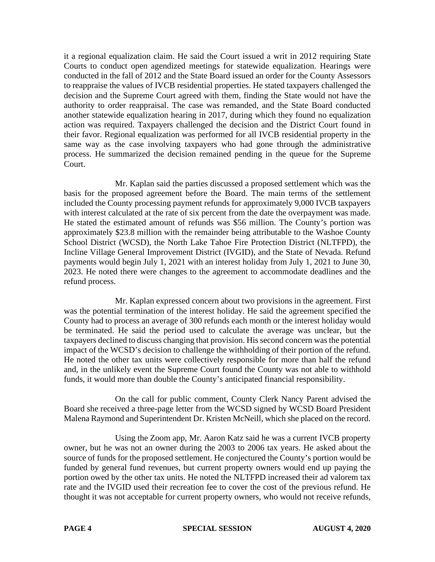it a regional equalization claim. He said the Court issued a writ in 2012 requiring State Courts to conduct open agendized meetings for statewide equalization. Hearings were conducted in the fall of 2012 and the State Board issued an order for the County Assessors to reappraise the values of IVCB residential properties. He stated taxpayers challenged the decision and the Supreme Court agreed with them, finding the State would not have the authority to order reappraisal. The case was remanded, and the State Board conducted another statewide equalization hearing in 2017, during which they found no equalization action was required. Taxpayers challenged the decision and the District Court found in their favor. Regional equalization was performed for all IVCB residential property in the same way as the case involving taxpayers who had gone through the administrative process. He summarized the decision remained pending in the queue for the Supreme Court.

Mr. Kaplan said the parties discussed a proposed settlement which was the basis for the proposed agreement before the Board. The main terms of the settlement included the County processing payment refunds for approximately 9,000 IVCB taxpayers with interest calculated at the rate of six percent from the date the overpayment was made. He stated the estimated amount of refunds was \$56 million. The County's portion was approximately \$23.8 million with the remainder being attributable to the Washoe County School District (WCSD), the North Lake Tahoe Fire Protection District (NLTFPD), the Incline Village General Improvement District (IVGID), and the State of Nevada. Refund payments would begin July 1, 2021 with an interest holiday from July 1, 2021 to June 30, 2023. He noted there were changes to the agreement to accommodate deadlines and the refund process.

Mr. Kaplan expressed concern about two provisions in the agreement. First was the potential termination of the interest holiday. He said the agreement specified the County had to process an average of 300 refunds each month or the interest holiday would be terminated. He said the period used to calculate the average was unclear, but the taxpayers declined to discuss changing that provision. His second concern was the potential impact of the WCSD's decision to challenge the withholding of their portion of the refund. He noted the other tax units were collectively responsible for more than half the refund and, in the unlikely event the Supreme Court found the County was not able to withhold funds, it would more than double the County's anticipated financial responsibility.

On the call for public comment, County Clerk Nancy Parent advised the Board she received a three-page letter from the WCSD signed by WCSD Board President Malena Raymond and Superintendent Dr. Kristen McNeill, which she placed on the record.

Using the Zoom app, Mr. Aaron Katz said he was a current IVCB property owner, but he was not an owner during the 2003 to 2006 tax years. He asked about the source of funds for the proposed settlement. He conjectured the County's portion would be funded by general fund revenues, but current property owners would end up paying the portion owed by the other tax units. He noted the NLTFPD increased their ad valorem tax rate and the IVGID used their recreation fee to cover the cost of the previous refund. He thought it was not acceptable for current property owners, who would not receive refunds,

**PAGE 4 SPECIAL SESSION AUGUST 4, 2020**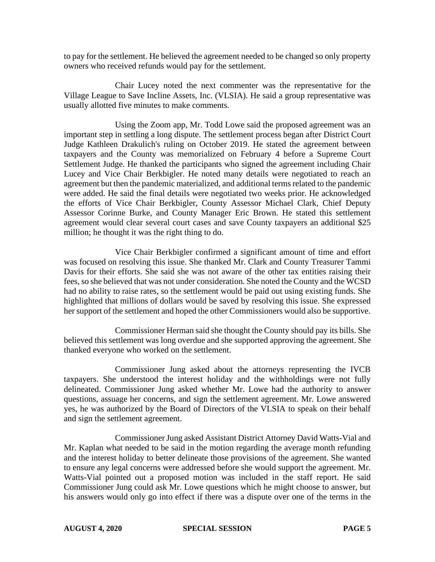to pay for the settlement. He believed the agreement needed to be changed so only property owners who received refunds would pay for the settlement.

Chair Lucey noted the next commenter was the representative for the Village League to Save Incline Assets, Inc. (VLSIA). He said a group representative was usually allotted five minutes to make comments.

Using the Zoom app, Mr. Todd Lowe said the proposed agreement was an important step in settling a long dispute. The settlement process began after District Court Judge Kathleen Drakulich's ruling on October 2019. He stated the agreement between taxpayers and the County was memorialized on February 4 before a Supreme Court Settlement Judge. He thanked the participants who signed the agreement including Chair Lucey and Vice Chair Berkbigler. He noted many details were negotiated to reach an agreement but then the pandemic materialized, and additional termsrelated to the pandemic were added. He said the final details were negotiated two weeks prior. He acknowledged the efforts of Vice Chair Berkbigler, County Assessor Michael Clark, Chief Deputy Assessor Corinne Burke, and County Manager Eric Brown. He stated this settlement agreement would clear several court cases and save County taxpayers an additional \$25 million; he thought it was the right thing to do.

Vice Chair Berkbigler confirmed a significant amount of time and effort was focused on resolving this issue. She thanked Mr. Clark and County Treasurer Tammi Davis for their efforts. She said she was not aware of the other tax entities raising their fees, so she believed that was not under consideration. She noted the County and the WCSD had no ability to raise rates, so the settlement would be paid out using existing funds. She highlighted that millions of dollars would be saved by resolving this issue. She expressed her support of the settlement and hoped the other Commissioners would also be supportive.

Commissioner Herman said she thought the County should pay its bills. She believed this settlement was long overdue and she supported approving the agreement. She thanked everyone who worked on the settlement.

Commissioner Jung asked about the attorneys representing the IVCB taxpayers. She understood the interest holiday and the withholdings were not fully delineated. Commissioner Jung asked whether Mr. Lowe had the authority to answer questions, assuage her concerns, and sign the settlement agreement. Mr. Lowe answered yes, he was authorized by the Board of Directors of the VLSIA to speak on their behalf and sign the settlement agreement.

Commissioner Jung asked Assistant District Attorney David Watts-Vial and Mr. Kaplan what needed to be said in the motion regarding the average month refunding and the interest holiday to better delineate those provisions of the agreement. She wanted to ensure any legal concerns were addressed before she would support the agreement. Mr. Watts-Vial pointed out a proposed motion was included in the staff report. He said Commissioner Jung could ask Mr. Lowe questions which he might choose to answer, but his answers would only go into effect if there was a dispute over one of the terms in the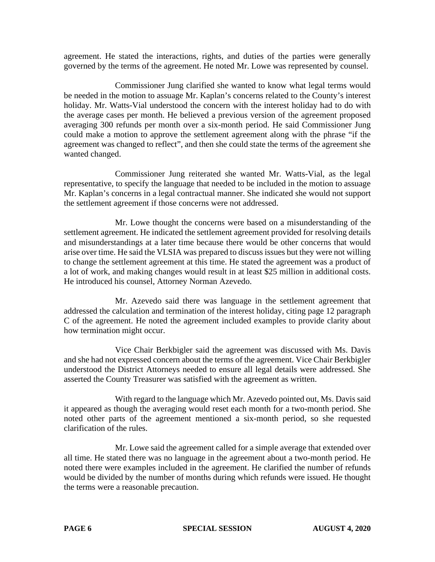agreement. He stated the interactions, rights, and duties of the parties were generally governed by the terms of the agreement. He noted Mr. Lowe was represented by counsel.

Commissioner Jung clarified she wanted to know what legal terms would be needed in the motion to assuage Mr. Kaplan's concerns related to the County's interest holiday. Mr. Watts-Vial understood the concern with the interest holiday had to do with the average cases per month. He believed a previous version of the agreement proposed averaging 300 refunds per month over a six-month period. He said Commissioner Jung could make a motion to approve the settlement agreement along with the phrase "if the agreement was changed to reflect", and then she could state the terms of the agreement she wanted changed.

Commissioner Jung reiterated she wanted Mr. Watts-Vial, as the legal representative, to specify the language that needed to be included in the motion to assuage Mr. Kaplan's concerns in a legal contractual manner. She indicated she would not support the settlement agreement if those concerns were not addressed.

Mr. Lowe thought the concerns were based on a misunderstanding of the settlement agreement. He indicated the settlement agreement provided for resolving details and misunderstandings at a later time because there would be other concerns that would arise over time. He said the VLSIA was prepared to discuss issues but they were not willing to change the settlement agreement at this time. He stated the agreement was a product of a lot of work, and making changes would result in at least \$25 million in additional costs. He introduced his counsel, Attorney Norman Azevedo.

Mr. Azevedo said there was language in the settlement agreement that addressed the calculation and termination of the interest holiday, citing page 12 paragraph C of the agreement. He noted the agreement included examples to provide clarity about how termination might occur.

Vice Chair Berkbigler said the agreement was discussed with Ms. Davis and she had not expressed concern about the terms of the agreement. Vice Chair Berkbigler understood the District Attorneys needed to ensure all legal details were addressed. She asserted the County Treasurer was satisfied with the agreement as written.

With regard to the language which Mr. Azevedo pointed out, Ms. Davis said it appeared as though the averaging would reset each month for a two-month period. She noted other parts of the agreement mentioned a six-month period, so she requested clarification of the rules.

Mr. Lowe said the agreement called for a simple average that extended over all time. He stated there was no language in the agreement about a two-month period. He noted there were examples included in the agreement. He clarified the number of refunds would be divided by the number of months during which refunds were issued. He thought the terms were a reasonable precaution.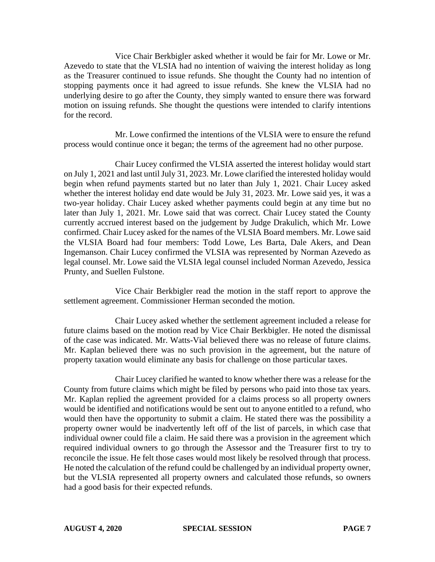Vice Chair Berkbigler asked whether it would be fair for Mr. Lowe or Mr. Azevedo to state that the VLSIA had no intention of waiving the interest holiday as long as the Treasurer continued to issue refunds. She thought the County had no intention of stopping payments once it had agreed to issue refunds. She knew the VLSIA had no underlying desire to go after the County, they simply wanted to ensure there was forward motion on issuing refunds. She thought the questions were intended to clarify intentions for the record.

Mr. Lowe confirmed the intentions of the VLSIA were to ensure the refund process would continue once it began; the terms of the agreement had no other purpose.

Chair Lucey confirmed the VLSIA asserted the interest holiday would start on July 1, 2021 and last until July 31, 2023. Mr. Lowe clarified the interested holiday would begin when refund payments started but no later than July 1, 2021. Chair Lucey asked whether the interest holiday end date would be July 31, 2023. Mr. Lowe said yes, it was a two-year holiday. Chair Lucey asked whether payments could begin at any time but no later than July 1, 2021. Mr. Lowe said that was correct. Chair Lucey stated the County currently accrued interest based on the judgement by Judge Drakulich, which Mr. Lowe confirmed. Chair Lucey asked for the names of the VLSIA Board members. Mr. Lowe said the VLSIA Board had four members: Todd Lowe, Les Barta, Dale Akers, and Dean Ingemanson. Chair Lucey confirmed the VLSIA was represented by Norman Azevedo as legal counsel. Mr. Lowe said the VLSIA legal counsel included Norman Azevedo, Jessica Prunty, and Suellen Fulstone.

Vice Chair Berkbigler read the motion in the staff report to approve the settlement agreement. Commissioner Herman seconded the motion.

Chair Lucey asked whether the settlement agreement included a release for future claims based on the motion read by Vice Chair Berkbigler. He noted the dismissal of the case was indicated. Mr. Watts-Vial believed there was no release of future claims. Mr. Kaplan believed there was no such provision in the agreement, but the nature of property taxation would eliminate any basis for challenge on those particular taxes.

Chair Lucey clarified he wanted to know whether there was a release for the County from future claims which might be filed by persons who paid into those tax years. Mr. Kaplan replied the agreement provided for a claims process so all property owners would be identified and notifications would be sent out to anyone entitled to a refund, who would then have the opportunity to submit a claim. He stated there was the possibility a property owner would be inadvertently left off of the list of parcels, in which case that individual owner could file a claim. He said there was a provision in the agreement which required individual owners to go through the Assessor and the Treasurer first to try to reconcile the issue. He felt those cases would most likely be resolved through that process. He noted the calculation of the refund could be challenged by an individual property owner, but the VLSIA represented all property owners and calculated those refunds, so owners had a good basis for their expected refunds.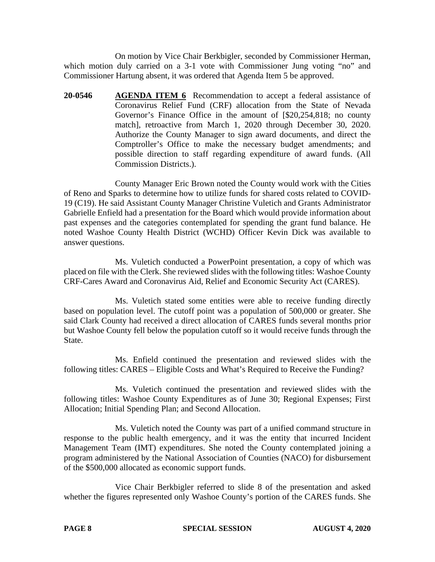On motion by Vice Chair Berkbigler, seconded by Commissioner Herman, which motion duly carried on a 3-1 vote with Commissioner Jung voting "no" and Commissioner Hartung absent, it was ordered that Agenda Item 5 be approved.

**20-0546 AGENDA ITEM 6** Recommendation to accept a federal assistance of Coronavirus Relief Fund (CRF) allocation from the State of Nevada Governor's Finance Office in the amount of [\$20,254,818; no county match], retroactive from March 1, 2020 through December 30, 2020. Authorize the County Manager to sign award documents, and direct the Comptroller's Office to make the necessary budget amendments; and possible direction to staff regarding expenditure of award funds. (All Commission Districts.).

County Manager Eric Brown noted the County would work with the Cities of Reno and Sparks to determine how to utilize funds for shared costs related to COVID-19 (C19). He said Assistant County Manager Christine Vuletich and Grants Administrator Gabrielle Enfield had a presentation for the Board which would provide information about past expenses and the categories contemplated for spending the grant fund balance. He noted Washoe County Health District (WCHD) Officer Kevin Dick was available to answer questions.

Ms. Vuletich conducted a PowerPoint presentation, a copy of which was placed on file with the Clerk. She reviewed slides with the following titles: Washoe County CRF-Cares Award and Coronavirus Aid, Relief and Economic Security Act (CARES).

Ms. Vuletich stated some entities were able to receive funding directly based on population level. The cutoff point was a population of 500,000 or greater. She said Clark County had received a direct allocation of CARES funds several months prior but Washoe County fell below the population cutoff so it would receive funds through the State.

Ms. Enfield continued the presentation and reviewed slides with the following titles: CARES – Eligible Costs and What's Required to Receive the Funding?

Ms. Vuletich continued the presentation and reviewed slides with the following titles: Washoe County Expenditures as of June 30; Regional Expenses; First Allocation; Initial Spending Plan; and Second Allocation.

Ms. Vuletich noted the County was part of a unified command structure in response to the public health emergency, and it was the entity that incurred Incident Management Team (IMT) expenditures. She noted the County contemplated joining a program administered by the National Association of Counties (NACO) for disbursement of the \$500,000 allocated as economic support funds.

Vice Chair Berkbigler referred to slide 8 of the presentation and asked whether the figures represented only Washoe County's portion of the CARES funds. She

**PAGE 8 SPECIAL SESSION AUGUST 4, 2020**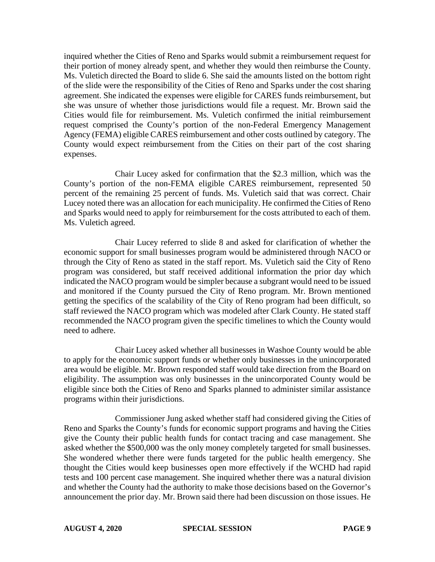inquired whether the Cities of Reno and Sparks would submit a reimbursement request for their portion of money already spent, and whether they would then reimburse the County. Ms. Vuletich directed the Board to slide 6. She said the amounts listed on the bottom right of the slide were the responsibility of the Cities of Reno and Sparks under the cost sharing agreement. She indicated the expenses were eligible for CARES funds reimbursement, but she was unsure of whether those jurisdictions would file a request. Mr. Brown said the Cities would file for reimbursement. Ms. Vuletich confirmed the initial reimbursement request comprised the County's portion of the non-Federal Emergency Management Agency (FEMA) eligible CARES reimbursement and other costs outlined by category. The County would expect reimbursement from the Cities on their part of the cost sharing expenses.

Chair Lucey asked for confirmation that the \$2.3 million, which was the County's portion of the non-FEMA eligible CARES reimbursement, represented 50 percent of the remaining 25 percent of funds. Ms. Vuletich said that was correct. Chair Lucey noted there was an allocation for each municipality. He confirmed the Cities of Reno and Sparks would need to apply for reimbursement for the costs attributed to each of them. Ms. Vuletich agreed.

Chair Lucey referred to slide 8 and asked for clarification of whether the economic support for small businesses program would be administered through NACO or through the City of Reno as stated in the staff report. Ms. Vuletich said the City of Reno program was considered, but staff received additional information the prior day which indicated the NACO program would be simpler because a subgrant would need to be issued and monitored if the County pursued the City of Reno program. Mr. Brown mentioned getting the specifics of the scalability of the City of Reno program had been difficult, so staff reviewed the NACO program which was modeled after Clark County. He stated staff recommended the NACO program given the specific timelines to which the County would need to adhere.

Chair Lucey asked whether all businesses in Washoe County would be able to apply for the economic support funds or whether only businesses in the unincorporated area would be eligible. Mr. Brown responded staff would take direction from the Board on eligibility. The assumption was only businesses in the unincorporated County would be eligible since both the Cities of Reno and Sparks planned to administer similar assistance programs within their jurisdictions.

Commissioner Jung asked whether staff had considered giving the Cities of Reno and Sparks the County's funds for economic support programs and having the Cities give the County their public health funds for contact tracing and case management. She asked whether the \$500,000 was the only money completely targeted for small businesses. She wondered whether there were funds targeted for the public health emergency. She thought the Cities would keep businesses open more effectively if the WCHD had rapid tests and 100 percent case management. She inquired whether there was a natural division and whether the County had the authority to make those decisions based on the Governor's announcement the prior day. Mr. Brown said there had been discussion on those issues. He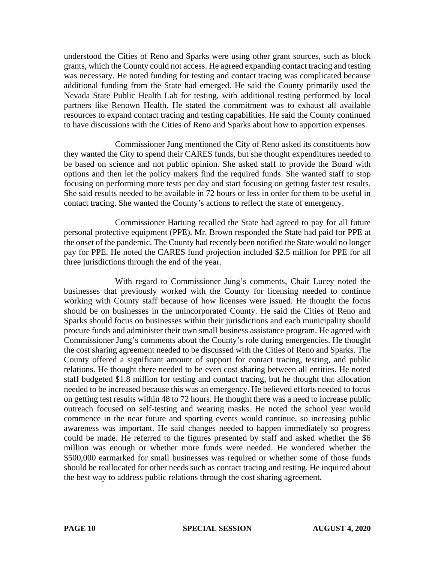understood the Cities of Reno and Sparks were using other grant sources, such as block grants, which the County could not access. He agreed expanding contact tracing and testing was necessary. He noted funding for testing and contact tracing was complicated because additional funding from the State had emerged. He said the County primarily used the Nevada State Public Health Lab for testing, with additional testing performed by local partners like Renown Health. He stated the commitment was to exhaust all available resources to expand contact tracing and testing capabilities. He said the County continued to have discussions with the Cities of Reno and Sparks about how to apportion expenses.

Commissioner Jung mentioned the City of Reno asked its constituents how they wanted the City to spend their CARES funds, but she thought expenditures needed to be based on science and not public opinion. She asked staff to provide the Board with options and then let the policy makers find the required funds. She wanted staff to stop focusing on performing more tests per day and start focusing on getting faster test results. She said results needed to be available in 72 hours or less in order for them to be useful in contact tracing. She wanted the County's actions to reflect the state of emergency.

Commissioner Hartung recalled the State had agreed to pay for all future personal protective equipment (PPE). Mr. Brown responded the State had paid for PPE at the onset of the pandemic. The County had recently been notified the State would no longer pay for PPE. He noted the CARES fund projection included \$2.5 million for PPE for all three jurisdictions through the end of the year.

With regard to Commissioner Jung's comments, Chair Lucey noted the businesses that previously worked with the County for licensing needed to continue working with County staff because of how licenses were issued. He thought the focus should be on businesses in the unincorporated County. He said the Cities of Reno and Sparks should focus on businesses within their jurisdictions and each municipality should procure funds and administer their own small business assistance program. He agreed with Commissioner Jung's comments about the County's role during emergencies. He thought the cost sharing agreement needed to be discussed with the Cities of Reno and Sparks. The County offered a significant amount of support for contact tracing, testing, and public relations. He thought there needed to be even cost sharing between all entities. He noted staff budgeted \$1.8 million for testing and contact tracing, but he thought that allocation needed to be increased because this was an emergency. He believed efforts needed to focus on getting test results within 48 to 72 hours. He thought there was a need to increase public outreach focused on self-testing and wearing masks. He noted the school year would commence in the near future and sporting events would continue, so increasing public awareness was important. He said changes needed to happen immediately so progress could be made. He referred to the figures presented by staff and asked whether the \$6 million was enough or whether more funds were needed. He wondered whether the \$500,000 earmarked for small businesses was required or whether some of those funds should be reallocated for other needs such as contact tracing and testing. He inquired about the best way to address public relations through the cost sharing agreement.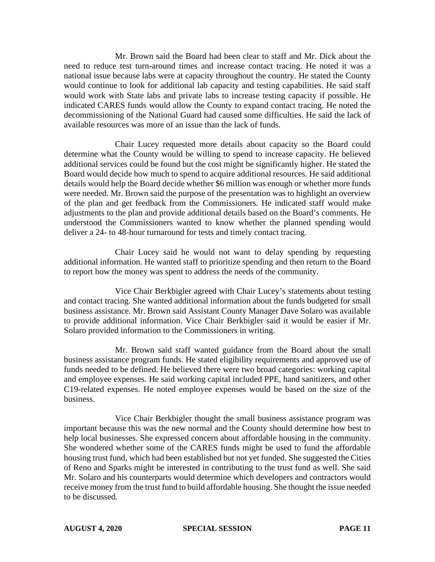Mr. Brown said the Board had been clear to staff and Mr. Dick about the need to reduce test turn-around times and increase contact tracing. He noted it was a national issue because labs were at capacity throughout the country. He stated the County would continue to look for additional lab capacity and testing capabilities. He said staff would work with State labs and private labs to increase testing capacity if possible. He indicated CARES funds would allow the County to expand contact tracing. He noted the decommissioning of the National Guard had caused some difficulties. He said the lack of available resources was more of an issue than the lack of funds.

Chair Lucey requested more details about capacity so the Board could determine what the County would be willing to spend to increase capacity. He believed additional services could be found but the cost might be significantly higher. He stated the Board would decide how much to spend to acquire additional resources. He said additional details would help the Board decide whether \$6 million was enough or whether more funds were needed. Mr. Brown said the purpose of the presentation was to highlight an overview of the plan and get feedback from the Commissioners. He indicated staff would make adjustments to the plan and provide additional details based on the Board's comments. He understood the Commissioners wanted to know whether the planned spending would deliver a 24- to 48-hour turnaround for tests and timely contact tracing.

Chair Lucey said he would not want to delay spending by requesting additional information. He wanted staff to prioritize spending and then return to the Board to report how the money was spent to address the needs of the community.

Vice Chair Berkbigler agreed with Chair Lucey's statements about testing and contact tracing. She wanted additional information about the funds budgeted for small business assistance. Mr. Brown said Assistant County Manager Dave Solaro was available to provide additional information. Vice Chair Berkbigler said it would be easier if Mr. Solaro provided information to the Commissioners in writing.

Mr. Brown said staff wanted guidance from the Board about the small business assistance program funds. He stated eligibility requirements and approved use of funds needed to be defined. He believed there were two broad categories: working capital and employee expenses. He said working capital included PPE, hand sanitizers, and other C19-related expenses. He noted employee expenses would be based on the size of the business.

Vice Chair Berkbigler thought the small business assistance program was important because this was the new normal and the County should determine how best to help local businesses. She expressed concern about affordable housing in the community. She wondered whether some of the CARES funds might be used to fund the affordable housing trust fund, which had been established but not yet funded. She suggested the Cities of Reno and Sparks might be interested in contributing to the trust fund as well. She said Mr. Solaro and his counterparts would determine which developers and contractors would receive money from the trust fund to build affordable housing. She thought the issue needed to be discussed.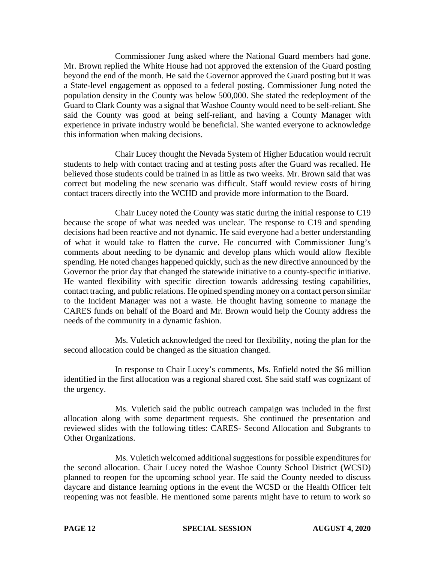Commissioner Jung asked where the National Guard members had gone. Mr. Brown replied the White House had not approved the extension of the Guard posting beyond the end of the month. He said the Governor approved the Guard posting but it was a State-level engagement as opposed to a federal posting. Commissioner Jung noted the population density in the County was below 500,000. She stated the redeployment of the Guard to Clark County was a signal that Washoe County would need to be self-reliant. She said the County was good at being self-reliant, and having a County Manager with experience in private industry would be beneficial. She wanted everyone to acknowledge this information when making decisions.

Chair Lucey thought the Nevada System of Higher Education would recruit students to help with contact tracing and at testing posts after the Guard was recalled. He believed those students could be trained in as little as two weeks. Mr. Brown said that was correct but modeling the new scenario was difficult. Staff would review costs of hiring contact tracers directly into the WCHD and provide more information to the Board.

Chair Lucey noted the County was static during the initial response to C19 because the scope of what was needed was unclear. The response to C19 and spending decisions had been reactive and not dynamic. He said everyone had a better understanding of what it would take to flatten the curve. He concurred with Commissioner Jung's comments about needing to be dynamic and develop plans which would allow flexible spending. He noted changes happened quickly, such as the new directive announced by the Governor the prior day that changed the statewide initiative to a county-specific initiative. He wanted flexibility with specific direction towards addressing testing capabilities, contact tracing, and public relations. He opined spending money on a contact person similar to the Incident Manager was not a waste. He thought having someone to manage the CARES funds on behalf of the Board and Mr. Brown would help the County address the needs of the community in a dynamic fashion.

Ms. Vuletich acknowledged the need for flexibility, noting the plan for the second allocation could be changed as the situation changed.

In response to Chair Lucey's comments, Ms. Enfield noted the \$6 million identified in the first allocation was a regional shared cost. She said staff was cognizant of the urgency.

Ms. Vuletich said the public outreach campaign was included in the first allocation along with some department requests. She continued the presentation and reviewed slides with the following titles: CARES- Second Allocation and Subgrants to Other Organizations.

Ms. Vuletich welcomed additional suggestions for possible expenditures for the second allocation. Chair Lucey noted the Washoe County School District (WCSD) planned to reopen for the upcoming school year. He said the County needed to discuss daycare and distance learning options in the event the WCSD or the Health Officer felt reopening was not feasible. He mentioned some parents might have to return to work so

**PAGE 12 SPECIAL SESSION AUGUST 4, 2020**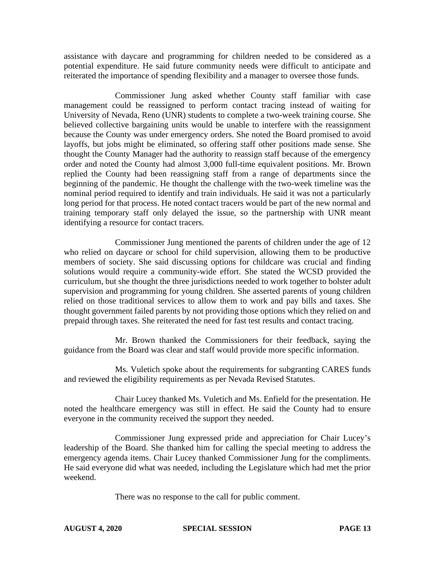assistance with daycare and programming for children needed to be considered as a potential expenditure. He said future community needs were difficult to anticipate and reiterated the importance of spending flexibility and a manager to oversee those funds.

Commissioner Jung asked whether County staff familiar with case management could be reassigned to perform contact tracing instead of waiting for University of Nevada, Reno (UNR) students to complete a two-week training course. She believed collective bargaining units would be unable to interfere with the reassignment because the County was under emergency orders. She noted the Board promised to avoid layoffs, but jobs might be eliminated, so offering staff other positions made sense. She thought the County Manager had the authority to reassign staff because of the emergency order and noted the County had almost 3,000 full-time equivalent positions. Mr. Brown replied the County had been reassigning staff from a range of departments since the beginning of the pandemic. He thought the challenge with the two-week timeline was the nominal period required to identify and train individuals. He said it was not a particularly long period for that process. He noted contact tracers would be part of the new normal and training temporary staff only delayed the issue, so the partnership with UNR meant identifying a resource for contact tracers.

Commissioner Jung mentioned the parents of children under the age of 12 who relied on daycare or school for child supervision, allowing them to be productive members of society. She said discussing options for childcare was crucial and finding solutions would require a community-wide effort. She stated the WCSD provided the curriculum, but she thought the three jurisdictions needed to work together to bolster adult supervision and programming for young children. She asserted parents of young children relied on those traditional services to allow them to work and pay bills and taxes. She thought government failed parents by not providing those options which they relied on and prepaid through taxes. She reiterated the need for fast test results and contact tracing.

Mr. Brown thanked the Commissioners for their feedback, saying the guidance from the Board was clear and staff would provide more specific information.

Ms. Vuletich spoke about the requirements for subgranting CARES funds and reviewed the eligibility requirements as per Nevada Revised Statutes.

Chair Lucey thanked Ms. Vuletich and Ms. Enfield for the presentation. He noted the healthcare emergency was still in effect. He said the County had to ensure everyone in the community received the support they needed.

Commissioner Jung expressed pride and appreciation for Chair Lucey's leadership of the Board. She thanked him for calling the special meeting to address the emergency agenda items. Chair Lucey thanked Commissioner Jung for the compliments. He said everyone did what was needed, including the Legislature which had met the prior weekend.

There was no response to the call for public comment.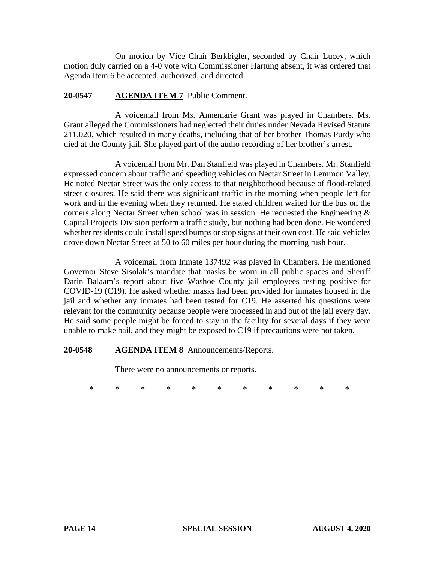On motion by Vice Chair Berkbigler, seconded by Chair Lucey, which motion duly carried on a 4-0 vote with Commissioner Hartung absent, it was ordered that Agenda Item 6 be accepted, authorized, and directed.

## **20-0547 AGENDA ITEM 7** Public Comment.

A voicemail from Ms. Annemarie Grant was played in Chambers. Ms. Grant alleged the Commissioners had neglected their duties under Nevada Revised Statute 211.020, which resulted in many deaths, including that of her brother Thomas Purdy who died at the County jail. She played part of the audio recording of her brother's arrest.

A voicemail from Mr. Dan Stanfield was played in Chambers. Mr. Stanfield expressed concern about traffic and speeding vehicles on Nectar Street in Lemmon Valley. He noted Nectar Street was the only access to that neighborhood because of flood-related street closures. He said there was significant traffic in the morning when people left for work and in the evening when they returned. He stated children waited for the bus on the corners along Nectar Street when school was in session. He requested the Engineering  $\&$ Capital Projects Division perform a traffic study, but nothing had been done. He wondered whether residents could install speed bumps or stop signs at their own cost. He said vehicles drove down Nectar Street at 50 to 60 miles per hour during the morning rush hour.

A voicemail from Inmate 137492 was played in Chambers. He mentioned Governor Steve Sisolak's mandate that masks be worn in all public spaces and Sheriff Darin Balaam's report about five Washoe County jail employees testing positive for COVID-19 (C19). He asked whether masks had been provided for inmates housed in the jail and whether any inmates had been tested for C19. He asserted his questions were relevant for the community because people were processed in and out of the jail every day. He said some people might be forced to stay in the facility for several days if they were unable to make bail, and they might be exposed to C19 if precautions were not taken.

## **20-0548 AGENDA ITEM 8** Announcements/Reports.

There were no announcements or reports.

\* \* \* \* \* \* \* \* \* \* \*